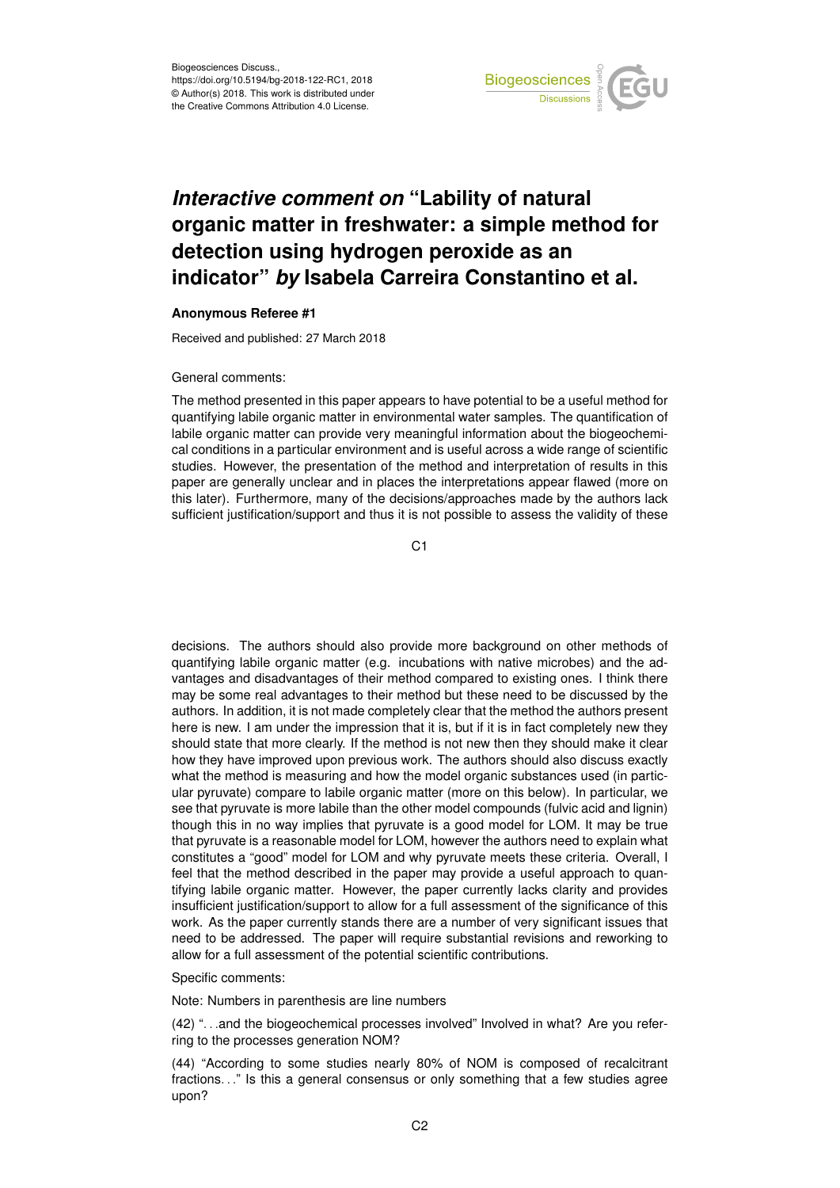

## *Interactive comment on* **"Lability of natural organic matter in freshwater: a simple method for detection using hydrogen peroxide as an indicator"** *by* **Isabela Carreira Constantino et al.**

## **Anonymous Referee #1**

Received and published: 27 March 2018

## General comments:

The method presented in this paper appears to have potential to be a useful method for quantifying labile organic matter in environmental water samples. The quantification of labile organic matter can provide very meaningful information about the biogeochemical conditions in a particular environment and is useful across a wide range of scientific studies. However, the presentation of the method and interpretation of results in this paper are generally unclear and in places the interpretations appear flawed (more on this later). Furthermore, many of the decisions/approaches made by the authors lack sufficient justification/support and thus it is not possible to assess the validity of these

C1

decisions. The authors should also provide more background on other methods of quantifying labile organic matter (e.g. incubations with native microbes) and the advantages and disadvantages of their method compared to existing ones. I think there may be some real advantages to their method but these need to be discussed by the authors. In addition, it is not made completely clear that the method the authors present here is new. I am under the impression that it is, but if it is in fact completely new they should state that more clearly. If the method is not new then they should make it clear how they have improved upon previous work. The authors should also discuss exactly what the method is measuring and how the model organic substances used (in particular pyruvate) compare to labile organic matter (more on this below). In particular, we see that pyruvate is more labile than the other model compounds (fulvic acid and lignin) though this in no way implies that pyruvate is a good model for LOM. It may be true that pyruvate is a reasonable model for LOM, however the authors need to explain what constitutes a "good" model for LOM and why pyruvate meets these criteria. Overall, I feel that the method described in the paper may provide a useful approach to quantifying labile organic matter. However, the paper currently lacks clarity and provides insufficient justification/support to allow for a full assessment of the significance of this work. As the paper currently stands there are a number of very significant issues that need to be addressed. The paper will require substantial revisions and reworking to allow for a full assessment of the potential scientific contributions.

## Specific comments:

Note: Numbers in parenthesis are line numbers

(42) ". . .and the biogeochemical processes involved" Involved in what? Are you referring to the processes generation NOM?

(44) "According to some studies nearly 80% of NOM is composed of recalcitrant fractions. . ." Is this a general consensus or only something that a few studies agree upon?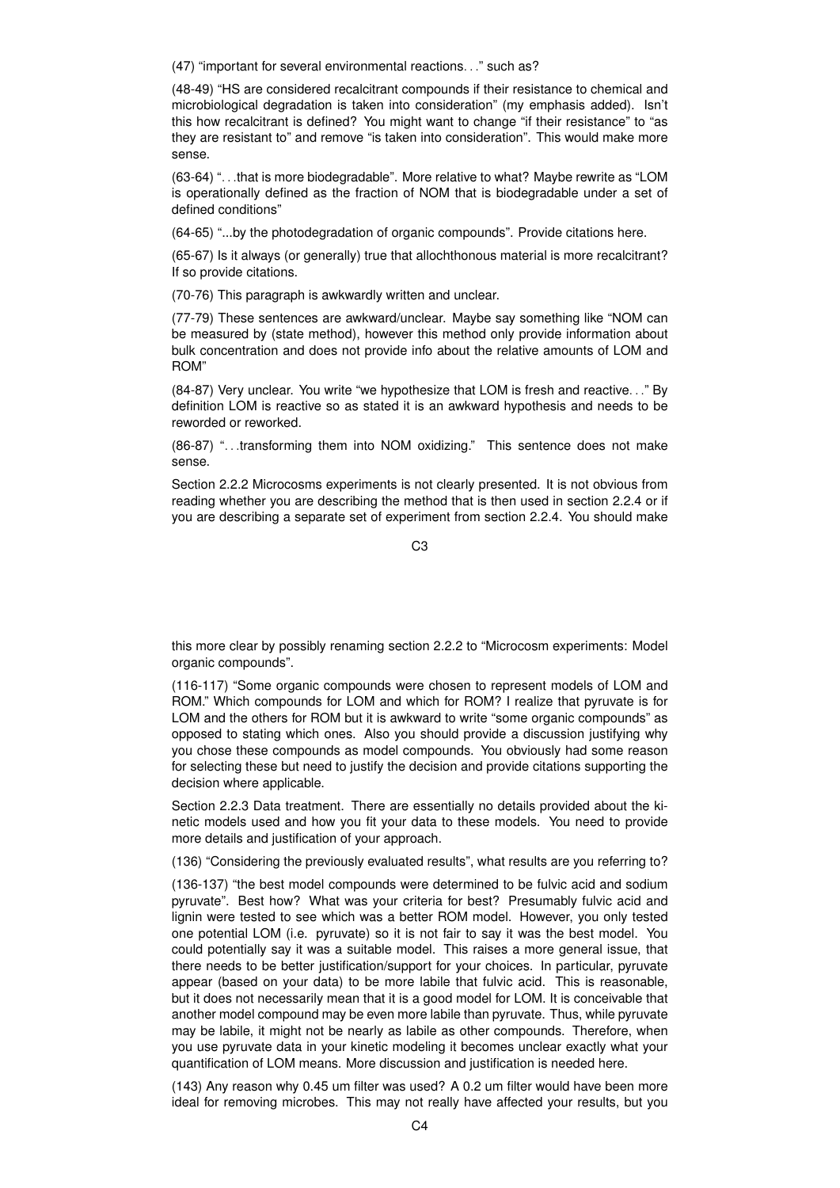(47) "important for several environmental reactions. . ." such as?

(48-49) "HS are considered recalcitrant compounds if their resistance to chemical and microbiological degradation is taken into consideration" (my emphasis added). Isn't this how recalcitrant is defined? You might want to change "if their resistance" to "as they are resistant to" and remove "is taken into consideration". This would make more sense.

(63-64) ". . .that is more biodegradable". More relative to what? Maybe rewrite as "LOM is operationally defined as the fraction of NOM that is biodegradable under a set of defined conditions"

(64-65) "...by the photodegradation of organic compounds". Provide citations here.

(65-67) Is it always (or generally) true that allochthonous material is more recalcitrant? If so provide citations.

(70-76) This paragraph is awkwardly written and unclear.

(77-79) These sentences are awkward/unclear. Maybe say something like "NOM can be measured by (state method), however this method only provide information about bulk concentration and does not provide info about the relative amounts of LOM and ROM"

(84-87) Very unclear. You write "we hypothesize that LOM is fresh and reactive. . ." By definition LOM is reactive so as stated it is an awkward hypothesis and needs to be reworded or reworked.

(86-87) ". . .transforming them into NOM oxidizing." This sentence does not make sense.

Section 2.2.2 Microcosms experiments is not clearly presented. It is not obvious from reading whether you are describing the method that is then used in section 2.2.4 or if you are describing a separate set of experiment from section 2.2.4. You should make

 $C<sub>3</sub>$ 

this more clear by possibly renaming section 2.2.2 to "Microcosm experiments: Model organic compounds".

(116-117) "Some organic compounds were chosen to represent models of LOM and ROM." Which compounds for LOM and which for ROM? I realize that pyruvate is for LOM and the others for ROM but it is awkward to write "some organic compounds" as opposed to stating which ones. Also you should provide a discussion justifying why you chose these compounds as model compounds. You obviously had some reason for selecting these but need to justify the decision and provide citations supporting the decision where applicable.

Section 2.2.3 Data treatment. There are essentially no details provided about the kinetic models used and how you fit your data to these models. You need to provide more details and justification of your approach.

(136) "Considering the previously evaluated results", what results are you referring to?

(136-137) "the best model compounds were determined to be fulvic acid and sodium pyruvate". Best how? What was your criteria for best? Presumably fulvic acid and lignin were tested to see which was a better ROM model. However, you only tested one potential LOM (i.e. pyruvate) so it is not fair to say it was the best model. You could potentially say it was a suitable model. This raises a more general issue, that there needs to be better justification/support for your choices. In particular, pyruvate appear (based on your data) to be more labile that fulvic acid. This is reasonable, but it does not necessarily mean that it is a good model for LOM. It is conceivable that another model compound may be even more labile than pyruvate. Thus, while pyruvate may be labile, it might not be nearly as labile as other compounds. Therefore, when you use pyruvate data in your kinetic modeling it becomes unclear exactly what your quantification of LOM means. More discussion and justification is needed here.

(143) Any reason why 0.45 um filter was used? A 0.2 um filter would have been more ideal for removing microbes. This may not really have affected your results, but you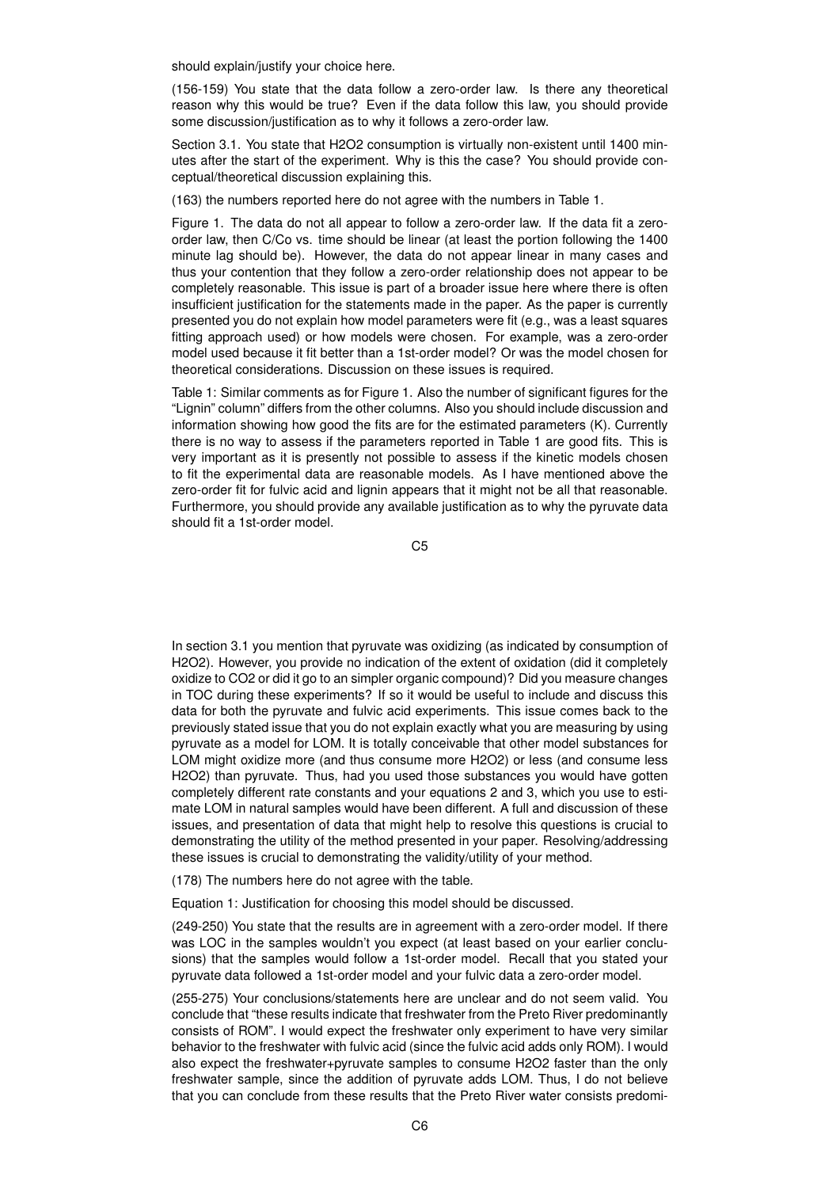should explain/justify your choice here.

(156-159) You state that the data follow a zero-order law. Is there any theoretical reason why this would be true? Even if the data follow this law, you should provide some discussion/justification as to why it follows a zero-order law.

Section 3.1. You state that H2O2 consumption is virtually non-existent until 1400 minutes after the start of the experiment. Why is this the case? You should provide conceptual/theoretical discussion explaining this.

(163) the numbers reported here do not agree with the numbers in Table 1.

Figure 1. The data do not all appear to follow a zero-order law. If the data fit a zeroorder law, then C/Co vs. time should be linear (at least the portion following the 1400 minute lag should be). However, the data do not appear linear in many cases and thus your contention that they follow a zero-order relationship does not appear to be completely reasonable. This issue is part of a broader issue here where there is often insufficient justification for the statements made in the paper. As the paper is currently presented you do not explain how model parameters were fit (e.g., was a least squares fitting approach used) or how models were chosen. For example, was a zero-order model used because it fit better than a 1st-order model? Or was the model chosen for theoretical considerations. Discussion on these issues is required.

Table 1: Similar comments as for Figure 1. Also the number of significant figures for the "Lignin" column" differs from the other columns. Also you should include discussion and information showing how good the fits are for the estimated parameters (K). Currently there is no way to assess if the parameters reported in Table 1 are good fits. This is very important as it is presently not possible to assess if the kinetic models chosen to fit the experimental data are reasonable models. As I have mentioned above the zero-order fit for fulvic acid and lignin appears that it might not be all that reasonable. Furthermore, you should provide any available justification as to why the pyruvate data should fit a 1st-order model.

C5

In section 3.1 you mention that pyruvate was oxidizing (as indicated by consumption of H2O2). However, you provide no indication of the extent of oxidation (did it completely oxidize to CO2 or did it go to an simpler organic compound)? Did you measure changes in TOC during these experiments? If so it would be useful to include and discuss this data for both the pyruvate and fulvic acid experiments. This issue comes back to the previously stated issue that you do not explain exactly what you are measuring by using pyruvate as a model for LOM. It is totally conceivable that other model substances for LOM might oxidize more (and thus consume more H2O2) or less (and consume less H2O2) than pyruvate. Thus, had you used those substances you would have gotten completely different rate constants and your equations 2 and 3, which you use to estimate LOM in natural samples would have been different. A full and discussion of these issues, and presentation of data that might help to resolve this questions is crucial to demonstrating the utility of the method presented in your paper. Resolving/addressing these issues is crucial to demonstrating the validity/utility of your method.

(178) The numbers here do not agree with the table.

Equation 1: Justification for choosing this model should be discussed.

(249-250) You state that the results are in agreement with a zero-order model. If there was LOC in the samples wouldn't you expect (at least based on your earlier conclusions) that the samples would follow a 1st-order model. Recall that you stated your pyruvate data followed a 1st-order model and your fulvic data a zero-order model.

(255-275) Your conclusions/statements here are unclear and do not seem valid. You conclude that "these results indicate that freshwater from the Preto River predominantly consists of ROM". I would expect the freshwater only experiment to have very similar behavior to the freshwater with fulvic acid (since the fulvic acid adds only ROM). I would also expect the freshwater+pyruvate samples to consume H2O2 faster than the only freshwater sample, since the addition of pyruvate adds LOM. Thus, I do not believe that you can conclude from these results that the Preto River water consists predomi